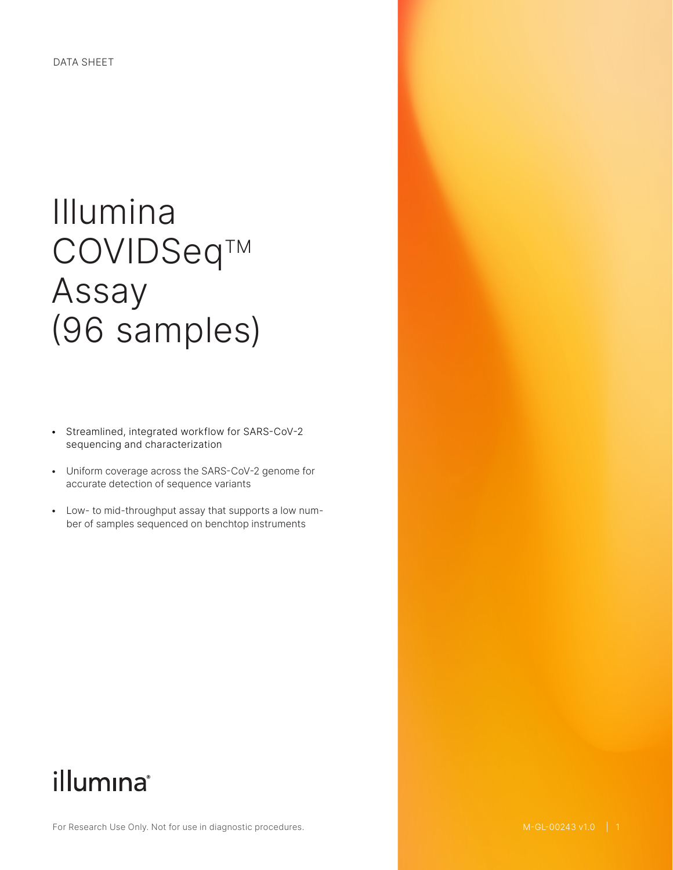# Illumina COVIDSeq™ Assay (96 samples)

- Streamlined, integrated workflow for SARS-CoV-2 sequencing and characterization
- Uniform coverage across the SARS-CoV-2 genome for accurate detection of sequence variants
- Low- to mid-throughput assay that supports a low number of samples sequenced on benchtop instruments

# illumına®

For Research Use Only. Not for use in diagnostic procedures.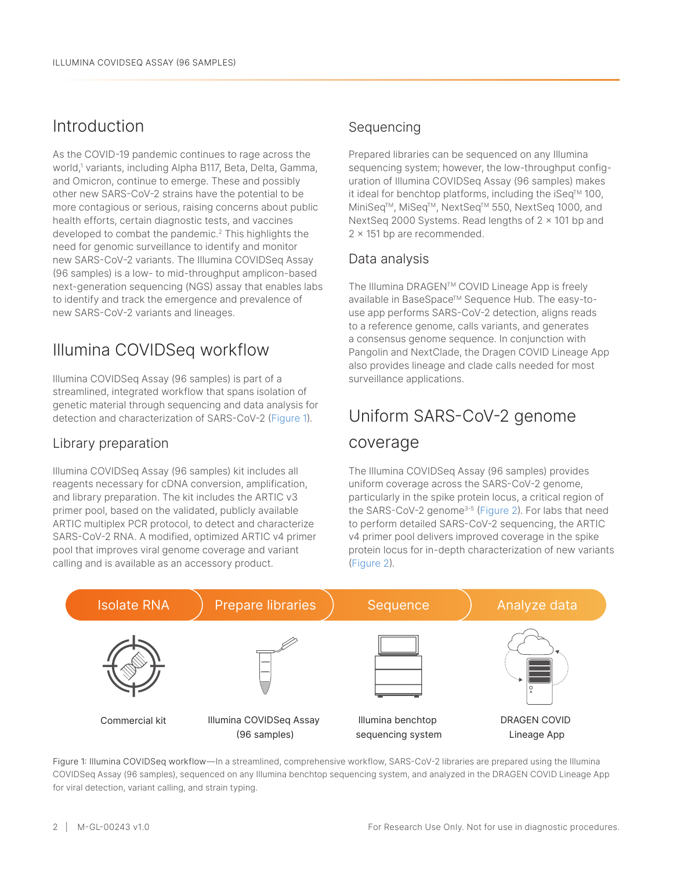## Introduction

As the COVID-19 pandemic continues to rage across the world,[1](#page-2-0) variants, including Alpha B117, Beta, Delta, Gamma, and Omicron, continue to emerge. These and possibly other new SARS-CoV-2 strains have the potential to be more contagious or serious, raising concerns about public health efforts, certain diagnostic tests, and vaccines developed to combat the pandemic.[2](#page-2-1) This highlights the need for genomic surveillance to identify and monitor new SARS-CoV-2 variants. The Illumina COVIDSeq Assay (96 samples) is a low- to mid-throughput amplicon-based next-generation sequencing (NGS) assay that enables labs to identify and track the emergence and prevalence of new SARS-CoV-2 variants and lineages.

# Illumina COVIDSeq workflow

Illumina COVIDSeq Assay (96 samples) is part of a streamlined, integrated workflow that spans isolation of genetic material through sequencing and data analysis for detection and characterization of SARS-CoV-2 (Figure 1).

### Library preparation

Illumina COVIDSeq Assay (96 samples) kit includes all reagents necessary for cDNA conversion, amplification, and library preparation. The kit includes the ARTIC v3 primer pool, based on the validated, publicly available ARTIC multiplex PCR protocol, to detect and characterize SARS-CoV-2 RNA. A modified, optimized ARTIC v4 primer pool that improves viral genome coverage and variant calling and is available as an accessory product.

### Sequencing

Prepared libraries can be sequenced on any Illumina sequencing system; however, the low-throughput configuration of Illumina COVIDSeq Assay (96 samples) makes it ideal for benchtop platforms, including the  $i$ Seq<sup>TM</sup> 100, MiniSeq™, MiSeq™, NextSeq™ 550, NextSeq 1000, and NextSeq 2000 Systems. Read lengths of  $2 \times 101$  bp and 2 x 151 bp are recommended.

### Data analysis

The Illumina DRAGEN™ COVID Lineage App is freely available in BaseSpace™ Sequence Hub. The easy-touse app performs SARS-CoV-2 detection, aligns reads to a reference genome, calls variants, and generates a consensus genome sequence. In conjunction with Pangolin and NextClade, the Dragen COVID Lineage App also provides lineage and clade calls needed for most surveillance applications.

# Uniform SARS-CoV-2 genome

### coverage

The Illumina COVIDSeq Assay (96 samples) provides uniform coverage across the SARS-CoV-2 genome, particularly in the spike protein locus, a critical region of the SARS-CoV-2 genome<sup>[3](#page-2-2)-[5](#page-2-3)</sup> [\(Figure 2\)](#page-2-4). For labs that need to perform detailed SARS-CoV-2 sequencing, the ARTIC v4 primer pool delivers improved coverage in the spike protein locus for in-depth characterization of new variants [\(Figure](#page-2-4) 2).



Figure 1: Illumina COVIDSeq workflow—In a streamlined, comprehensive workflow, SARS-CoV-2 libraries are prepared using the Illumina COVIDSeq Assay (96 samples), sequenced on any Illumina benchtop sequencing system, and analyzed in the DRAGEN COVID Lineage App for viral detection, variant calling, and strain typing.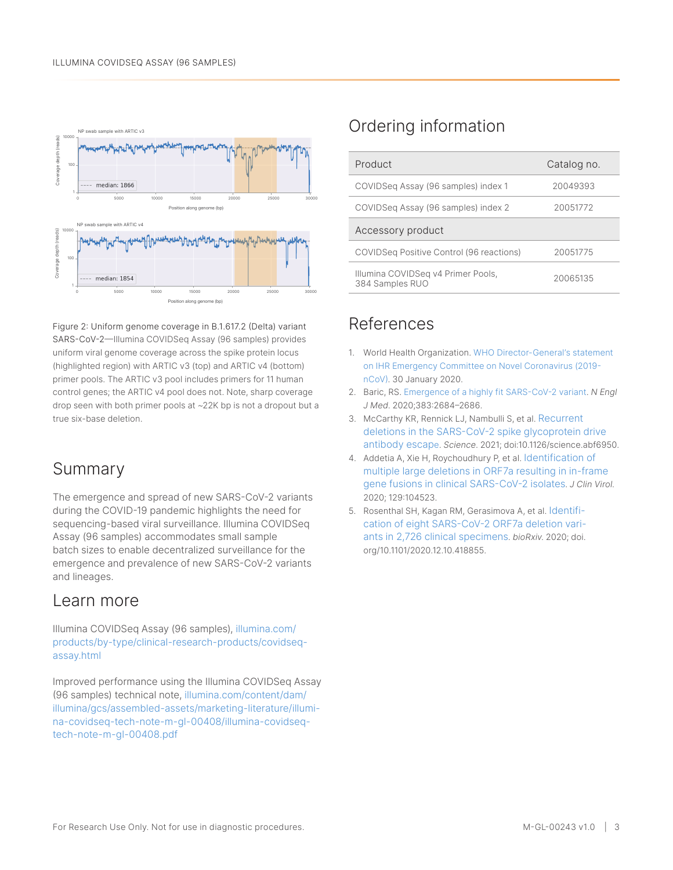<span id="page-2-4"></span>

Figure 2: Uniform genome coverage in B.1.617.2 (Delta) variant SARS-CoV-2—Illumina COVIDSeq Assay (96 samples) provides uniform viral genome coverage across the spike protein locus (highlighted region) with ARTIC v3 (top) and ARTIC v4 (bottom) primer pools. The ARTIC v3 pool includes primers for 11 human control genes; the ARTIC v4 pool does not. Note, sharp coverage drop seen with both primer pools at ~22K bp is not a dropout but a true six-base deletion.

### Summary

The emergence and spread of new SARS-CoV-2 variants during the COVID-19 pandemic highlights the need for sequencing-based viral surveillance. Illumina COVIDSeq Assay (96 samples) accommodates small sample batch sizes to enable decentralized surveillance for the emergence and prevalence of new SARS-CoV-2 variants and lineages.

### Learn more

Illumina COVIDSeq Assay (96 samples), [illumina.com/](http://www.illumina.com/products/by-type/clinical-research-products/covidseq-assay.html) [products/by-type/clinical-research-products/covidseq](http://www.illumina.com/products/by-type/clinical-research-products/covidseq-assay.html)[assay.html](http://www.illumina.com/products/by-type/clinical-research-products/covidseq-assay.html)

Improved performance using the Illumina COVIDSeq Assay (96 samples) technical note, [illumina.com/content/dam/](http://www.illumina.com/content/dam/illumina/gcs/assembled-assets/marketing-literature/illumina-covidseq-tech-note-m-gl-00408/illumina-covidseq-tech-note-m-gl-00408.pdf) [illumina/gcs/assembled-assets/marketing-literature/illumi](http://www.illumina.com/content/dam/illumina/gcs/assembled-assets/marketing-literature/illumina-covidseq-tech-note-m-gl-00408/illumina-covidseq-tech-note-m-gl-00408.pdf)[na-covidseq-tech-note-m-gl-00408/illumina-covidseq](http://www.illumina.com/content/dam/illumina/gcs/assembled-assets/marketing-literature/illumina-covidseq-tech-note-m-gl-00408/illumina-covidseq-tech-note-m-gl-00408.pdf)[tech-note-m-gl-00408.pdf](http://www.illumina.com/content/dam/illumina/gcs/assembled-assets/marketing-literature/illumina-covidseq-tech-note-m-gl-00408/illumina-covidseq-tech-note-m-gl-00408.pdf)

## Ordering information

| Product                                  | Catalog no. |
|------------------------------------------|-------------|
| COVIDSeg Assay (96 samples) index 1      | 20049393    |
| COVIDSeq Assay (96 samples) index 2      | 20051772    |
| Accessory product                        |             |
|                                          |             |
| COVIDSeg Positive Control (96 reactions) | 20051775    |

### References

- <span id="page-2-0"></span>1. World Health Organization. [WHO Director-General's statement](https://www.who.int/director-general/speeches/detail/who-director-general-s-statement-on-ihr-emergency-committee-on-novel-coronavirus-(2019-ncov))  [on IHR Emergency Committee on Novel Coronavirus \(2019](https://www.who.int/director-general/speeches/detail/who-director-general-s-statement-on-ihr-emergency-committee-on-novel-coronavirus-(2019-ncov)) [nCoV\)](https://www.who.int/director-general/speeches/detail/who-director-general-s-statement-on-ihr-emergency-committee-on-novel-coronavirus-(2019-ncov)). 30 January 2020.
- <span id="page-2-1"></span>2. Baric, RS. [Emergence of a highly fit SARS-CoV-2 variant.](https://www.nejm.org/doi/full/10.1056/NEJMcibr2032888) *N Engl J Med*. 2020;383:2684–2686.
- <span id="page-2-2"></span>3. McCarthy KR, Rennick LJ, Nambulli S, et al. [Recurrent](https://science.sciencemag.org/content/early/2021/02/02/science.abf6950)  [deletions in the SARS-CoV-2 spike glycoprotein drive](https://science.sciencemag.org/content/early/2021/02/02/science.abf6950)  [antibody escap](https://science.sciencemag.org/content/early/2021/02/02/science.abf6950)e. *Science*. 2021; doi:10.1126/science.abf6950.
- 4. Addetia A, Xie H, Roychoudhury P, et al. [Identification of](https://www.ncbi.nlm.nih.gov/pmc/articles/PMC7309833/)  [multiple large deletions in ORF7a resulting in in-frame](https://www.ncbi.nlm.nih.gov/pmc/articles/PMC7309833/)  [gene fusions in clinical SARS-CoV-2 isolates](https://www.ncbi.nlm.nih.gov/pmc/articles/PMC7309833/). *J Clin Virol*. 2020; 129:104523.
- <span id="page-2-3"></span>5. Rosenthal SH, Kagan RM, Gerasimova A, et al. [Identifi](https://www.biorxiv.org/content/10.1101/2020.12.10.418855v1)[cation of eight SARS-CoV-2 ORF7a deletion vari](https://www.biorxiv.org/content/10.1101/2020.12.10.418855v1)[ants in 2,726 clinical specimens.](https://www.biorxiv.org/content/10.1101/2020.12.10.418855v1) *bioRxiv*. 2020; doi. org/10.1101/2020.12.10.418855.